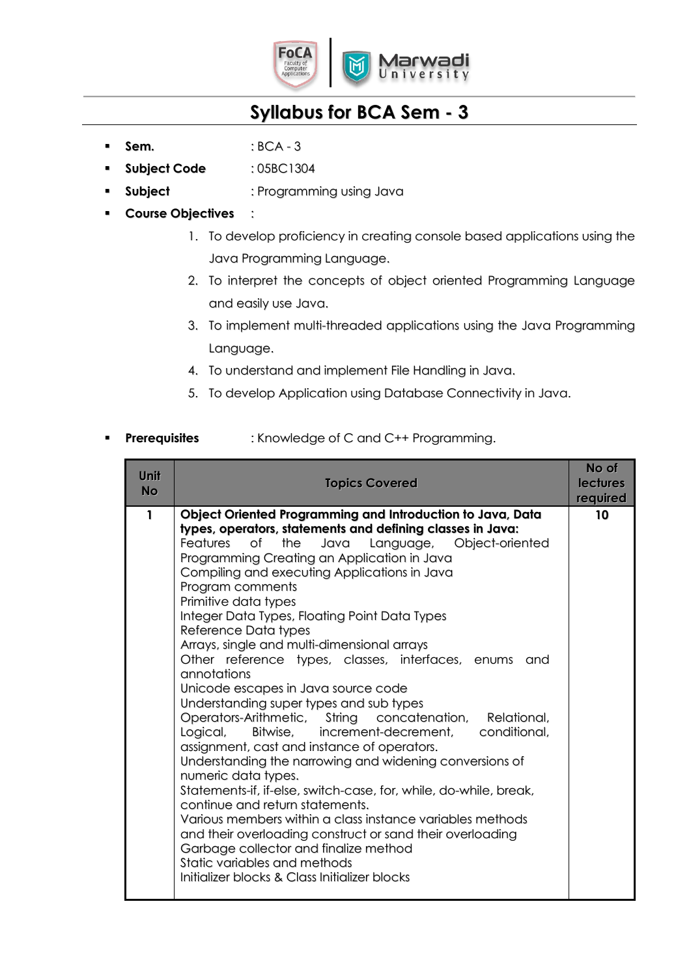

- **Sem.** : BCA 3
- **Subject Code** : 05BC1304
- **Subject** : Programming using Java
- **Course Objectives** :
	- 1. To develop proficiency in creating console based applications using the Java Programming Language.
	- 2. To interpret the concepts of object oriented Programming Language and easily use Java.
	- 3. To implement multi-threaded applications using the Java Programming Language.
	- 4. To understand and implement File Handling in Java.
	- 5. To develop Application using Database Connectivity in Java.

## **Prerequisites** : Knowledge of C and C++ Programming.

| Unit<br><b>No</b> | <b>Topics Covered</b>                                                                                                                                                                                                                                                                                                                                                                                                                                                                                                                                                                                                                                                                                                                                                                                                                                                                                                                                                                                                                                                                                                                                                                                                                       | No of<br><b>lectures</b><br>required |
|-------------------|---------------------------------------------------------------------------------------------------------------------------------------------------------------------------------------------------------------------------------------------------------------------------------------------------------------------------------------------------------------------------------------------------------------------------------------------------------------------------------------------------------------------------------------------------------------------------------------------------------------------------------------------------------------------------------------------------------------------------------------------------------------------------------------------------------------------------------------------------------------------------------------------------------------------------------------------------------------------------------------------------------------------------------------------------------------------------------------------------------------------------------------------------------------------------------------------------------------------------------------------|--------------------------------------|
| 1                 | Object Oriented Programming and Introduction to Java, Data<br>types, operators, statements and defining classes in Java:<br>Features<br>the<br>Language, Object-oriented<br>Οf<br>Java<br>Programming Creating an Application in Java<br>Compiling and executing Applications in Java<br>Program comments<br>Primitive data types<br>Integer Data Types, Floating Point Data Types<br>Reference Data types<br>Arrays, single and multi-dimensional arrays<br>Other reference types, classes, interfaces, enums<br>and<br>annotations<br>Unicode escapes in Java source code<br>Understanding super types and sub types<br>Operators-Arithmetic, String concatenation, Relational,<br>Bitwise, increment-decrement,<br>conditional,<br>Logical,<br>assignment, cast and instance of operators.<br>Understanding the narrowing and widening conversions of<br>numeric data types.<br>Statements-if, if-else, switch-case, for, while, do-while, break,<br>continue and return statements.<br>Various members within a class instance variables methods<br>and their overloading construct or sand their overloading<br>Garbage collector and finalize method<br>Static variables and methods<br>Initializer blocks & Class Initializer blocks | 10                                   |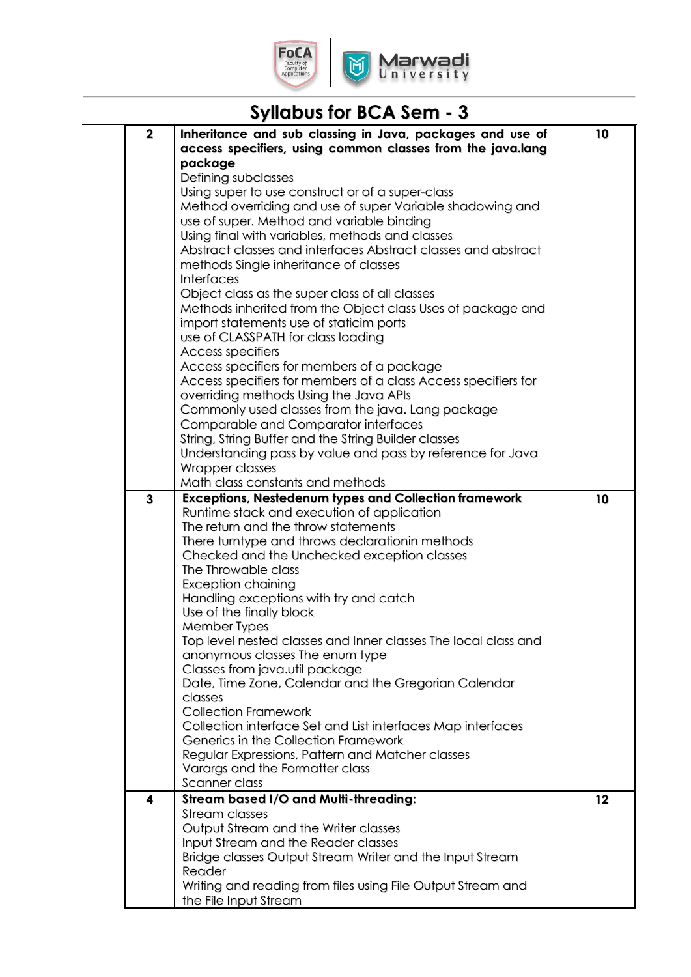

 $\breve{\mathbb{C}}$ 

| $\mathbf 2$<br>Inheritance and sub classing in Java, packages and use of<br>10<br>access specifiers, using common classes from the java.lang<br>package<br>Defining subclasses<br>Using super to use construct or of a super-class<br>Method overriding and use of super Variable shadowing and<br>use of super. Method and variable binding<br>Using final with variables, methods and classes<br>Abstract classes and interfaces Abstract classes and abstract<br>methods Single inheritance of classes<br><b>Interfaces</b><br>Object class as the super class of all classes<br>Methods inherited from the Object class Uses of package and<br>import statements use of staticim ports<br>use of CLASSPATH for class loading<br><b>Access specifiers</b><br>Access specifiers for members of a package<br>Access specifiers for members of a class Access specifiers for<br>overriding methods Using the Java APIs<br>Commonly used classes from the java. Lang package<br>Comparable and Comparator interfaces<br>String, String Buffer and the String Builder classes<br>Understanding pass by value and pass by reference for Java<br>Wrapper classes<br>Math class constants and methods<br><b>Exceptions, Nestedenum types and Collection framework</b><br>3<br>10<br>Runtime stack and execution of application<br>The return and the throw statements<br>There turntype and throws declarationin methods<br>Checked and the Unchecked exception classes<br>The Throwable class<br><b>Exception chaining</b><br>Handling exceptions with try and catch<br>Use of the finally block<br>Member Types<br>Top level nested classes and Inner classes The local class and<br>anonymous classes The enum type<br>Classes from java.util package<br>Date, Time Zone, Calendar and the Gregorian Calendar<br>classes<br><b>Collection Framework</b><br>Collection interface Set and List interfaces Map interfaces<br>Generics in the Collection Framework<br>Regular Expressions, Pattern and Matcher classes<br>Varargs and the Formatter class<br>Scanner class<br><b>Stream based I/O and Multi-threading:</b><br>12<br>4<br><b>Stream classes</b><br>Output Stream and the Writer classes<br>Input Stream and the Reader classes<br>Bridge classes Output Stream Writer and the Input Stream | <b>Syllabus for BCA Sem - 3</b> |  |
|-----------------------------------------------------------------------------------------------------------------------------------------------------------------------------------------------------------------------------------------------------------------------------------------------------------------------------------------------------------------------------------------------------------------------------------------------------------------------------------------------------------------------------------------------------------------------------------------------------------------------------------------------------------------------------------------------------------------------------------------------------------------------------------------------------------------------------------------------------------------------------------------------------------------------------------------------------------------------------------------------------------------------------------------------------------------------------------------------------------------------------------------------------------------------------------------------------------------------------------------------------------------------------------------------------------------------------------------------------------------------------------------------------------------------------------------------------------------------------------------------------------------------------------------------------------------------------------------------------------------------------------------------------------------------------------------------------------------------------------------------------------------------------------------------------------------------------------------------------------------------------------------------------------------------------------------------------------------------------------------------------------------------------------------------------------------------------------------------------------------------------------------------------------------------------------------------------------------------------------------------------------------------------------------------------|---------------------------------|--|
|                                                                                                                                                                                                                                                                                                                                                                                                                                                                                                                                                                                                                                                                                                                                                                                                                                                                                                                                                                                                                                                                                                                                                                                                                                                                                                                                                                                                                                                                                                                                                                                                                                                                                                                                                                                                                                                                                                                                                                                                                                                                                                                                                                                                                                                                                                     |                                 |  |
|                                                                                                                                                                                                                                                                                                                                                                                                                                                                                                                                                                                                                                                                                                                                                                                                                                                                                                                                                                                                                                                                                                                                                                                                                                                                                                                                                                                                                                                                                                                                                                                                                                                                                                                                                                                                                                                                                                                                                                                                                                                                                                                                                                                                                                                                                                     |                                 |  |
|                                                                                                                                                                                                                                                                                                                                                                                                                                                                                                                                                                                                                                                                                                                                                                                                                                                                                                                                                                                                                                                                                                                                                                                                                                                                                                                                                                                                                                                                                                                                                                                                                                                                                                                                                                                                                                                                                                                                                                                                                                                                                                                                                                                                                                                                                                     |                                 |  |
|                                                                                                                                                                                                                                                                                                                                                                                                                                                                                                                                                                                                                                                                                                                                                                                                                                                                                                                                                                                                                                                                                                                                                                                                                                                                                                                                                                                                                                                                                                                                                                                                                                                                                                                                                                                                                                                                                                                                                                                                                                                                                                                                                                                                                                                                                                     |                                 |  |
|                                                                                                                                                                                                                                                                                                                                                                                                                                                                                                                                                                                                                                                                                                                                                                                                                                                                                                                                                                                                                                                                                                                                                                                                                                                                                                                                                                                                                                                                                                                                                                                                                                                                                                                                                                                                                                                                                                                                                                                                                                                                                                                                                                                                                                                                                                     |                                 |  |
|                                                                                                                                                                                                                                                                                                                                                                                                                                                                                                                                                                                                                                                                                                                                                                                                                                                                                                                                                                                                                                                                                                                                                                                                                                                                                                                                                                                                                                                                                                                                                                                                                                                                                                                                                                                                                                                                                                                                                                                                                                                                                                                                                                                                                                                                                                     |                                 |  |
|                                                                                                                                                                                                                                                                                                                                                                                                                                                                                                                                                                                                                                                                                                                                                                                                                                                                                                                                                                                                                                                                                                                                                                                                                                                                                                                                                                                                                                                                                                                                                                                                                                                                                                                                                                                                                                                                                                                                                                                                                                                                                                                                                                                                                                                                                                     |                                 |  |
|                                                                                                                                                                                                                                                                                                                                                                                                                                                                                                                                                                                                                                                                                                                                                                                                                                                                                                                                                                                                                                                                                                                                                                                                                                                                                                                                                                                                                                                                                                                                                                                                                                                                                                                                                                                                                                                                                                                                                                                                                                                                                                                                                                                                                                                                                                     |                                 |  |
|                                                                                                                                                                                                                                                                                                                                                                                                                                                                                                                                                                                                                                                                                                                                                                                                                                                                                                                                                                                                                                                                                                                                                                                                                                                                                                                                                                                                                                                                                                                                                                                                                                                                                                                                                                                                                                                                                                                                                                                                                                                                                                                                                                                                                                                                                                     |                                 |  |
|                                                                                                                                                                                                                                                                                                                                                                                                                                                                                                                                                                                                                                                                                                                                                                                                                                                                                                                                                                                                                                                                                                                                                                                                                                                                                                                                                                                                                                                                                                                                                                                                                                                                                                                                                                                                                                                                                                                                                                                                                                                                                                                                                                                                                                                                                                     |                                 |  |
|                                                                                                                                                                                                                                                                                                                                                                                                                                                                                                                                                                                                                                                                                                                                                                                                                                                                                                                                                                                                                                                                                                                                                                                                                                                                                                                                                                                                                                                                                                                                                                                                                                                                                                                                                                                                                                                                                                                                                                                                                                                                                                                                                                                                                                                                                                     |                                 |  |
|                                                                                                                                                                                                                                                                                                                                                                                                                                                                                                                                                                                                                                                                                                                                                                                                                                                                                                                                                                                                                                                                                                                                                                                                                                                                                                                                                                                                                                                                                                                                                                                                                                                                                                                                                                                                                                                                                                                                                                                                                                                                                                                                                                                                                                                                                                     |                                 |  |
|                                                                                                                                                                                                                                                                                                                                                                                                                                                                                                                                                                                                                                                                                                                                                                                                                                                                                                                                                                                                                                                                                                                                                                                                                                                                                                                                                                                                                                                                                                                                                                                                                                                                                                                                                                                                                                                                                                                                                                                                                                                                                                                                                                                                                                                                                                     |                                 |  |
|                                                                                                                                                                                                                                                                                                                                                                                                                                                                                                                                                                                                                                                                                                                                                                                                                                                                                                                                                                                                                                                                                                                                                                                                                                                                                                                                                                                                                                                                                                                                                                                                                                                                                                                                                                                                                                                                                                                                                                                                                                                                                                                                                                                                                                                                                                     |                                 |  |
|                                                                                                                                                                                                                                                                                                                                                                                                                                                                                                                                                                                                                                                                                                                                                                                                                                                                                                                                                                                                                                                                                                                                                                                                                                                                                                                                                                                                                                                                                                                                                                                                                                                                                                                                                                                                                                                                                                                                                                                                                                                                                                                                                                                                                                                                                                     |                                 |  |
|                                                                                                                                                                                                                                                                                                                                                                                                                                                                                                                                                                                                                                                                                                                                                                                                                                                                                                                                                                                                                                                                                                                                                                                                                                                                                                                                                                                                                                                                                                                                                                                                                                                                                                                                                                                                                                                                                                                                                                                                                                                                                                                                                                                                                                                                                                     |                                 |  |
|                                                                                                                                                                                                                                                                                                                                                                                                                                                                                                                                                                                                                                                                                                                                                                                                                                                                                                                                                                                                                                                                                                                                                                                                                                                                                                                                                                                                                                                                                                                                                                                                                                                                                                                                                                                                                                                                                                                                                                                                                                                                                                                                                                                                                                                                                                     |                                 |  |
|                                                                                                                                                                                                                                                                                                                                                                                                                                                                                                                                                                                                                                                                                                                                                                                                                                                                                                                                                                                                                                                                                                                                                                                                                                                                                                                                                                                                                                                                                                                                                                                                                                                                                                                                                                                                                                                                                                                                                                                                                                                                                                                                                                                                                                                                                                     |                                 |  |
|                                                                                                                                                                                                                                                                                                                                                                                                                                                                                                                                                                                                                                                                                                                                                                                                                                                                                                                                                                                                                                                                                                                                                                                                                                                                                                                                                                                                                                                                                                                                                                                                                                                                                                                                                                                                                                                                                                                                                                                                                                                                                                                                                                                                                                                                                                     |                                 |  |
|                                                                                                                                                                                                                                                                                                                                                                                                                                                                                                                                                                                                                                                                                                                                                                                                                                                                                                                                                                                                                                                                                                                                                                                                                                                                                                                                                                                                                                                                                                                                                                                                                                                                                                                                                                                                                                                                                                                                                                                                                                                                                                                                                                                                                                                                                                     |                                 |  |
|                                                                                                                                                                                                                                                                                                                                                                                                                                                                                                                                                                                                                                                                                                                                                                                                                                                                                                                                                                                                                                                                                                                                                                                                                                                                                                                                                                                                                                                                                                                                                                                                                                                                                                                                                                                                                                                                                                                                                                                                                                                                                                                                                                                                                                                                                                     |                                 |  |
|                                                                                                                                                                                                                                                                                                                                                                                                                                                                                                                                                                                                                                                                                                                                                                                                                                                                                                                                                                                                                                                                                                                                                                                                                                                                                                                                                                                                                                                                                                                                                                                                                                                                                                                                                                                                                                                                                                                                                                                                                                                                                                                                                                                                                                                                                                     |                                 |  |
|                                                                                                                                                                                                                                                                                                                                                                                                                                                                                                                                                                                                                                                                                                                                                                                                                                                                                                                                                                                                                                                                                                                                                                                                                                                                                                                                                                                                                                                                                                                                                                                                                                                                                                                                                                                                                                                                                                                                                                                                                                                                                                                                                                                                                                                                                                     |                                 |  |
|                                                                                                                                                                                                                                                                                                                                                                                                                                                                                                                                                                                                                                                                                                                                                                                                                                                                                                                                                                                                                                                                                                                                                                                                                                                                                                                                                                                                                                                                                                                                                                                                                                                                                                                                                                                                                                                                                                                                                                                                                                                                                                                                                                                                                                                                                                     |                                 |  |
|                                                                                                                                                                                                                                                                                                                                                                                                                                                                                                                                                                                                                                                                                                                                                                                                                                                                                                                                                                                                                                                                                                                                                                                                                                                                                                                                                                                                                                                                                                                                                                                                                                                                                                                                                                                                                                                                                                                                                                                                                                                                                                                                                                                                                                                                                                     |                                 |  |
|                                                                                                                                                                                                                                                                                                                                                                                                                                                                                                                                                                                                                                                                                                                                                                                                                                                                                                                                                                                                                                                                                                                                                                                                                                                                                                                                                                                                                                                                                                                                                                                                                                                                                                                                                                                                                                                                                                                                                                                                                                                                                                                                                                                                                                                                                                     |                                 |  |
|                                                                                                                                                                                                                                                                                                                                                                                                                                                                                                                                                                                                                                                                                                                                                                                                                                                                                                                                                                                                                                                                                                                                                                                                                                                                                                                                                                                                                                                                                                                                                                                                                                                                                                                                                                                                                                                                                                                                                                                                                                                                                                                                                                                                                                                                                                     |                                 |  |
|                                                                                                                                                                                                                                                                                                                                                                                                                                                                                                                                                                                                                                                                                                                                                                                                                                                                                                                                                                                                                                                                                                                                                                                                                                                                                                                                                                                                                                                                                                                                                                                                                                                                                                                                                                                                                                                                                                                                                                                                                                                                                                                                                                                                                                                                                                     |                                 |  |
|                                                                                                                                                                                                                                                                                                                                                                                                                                                                                                                                                                                                                                                                                                                                                                                                                                                                                                                                                                                                                                                                                                                                                                                                                                                                                                                                                                                                                                                                                                                                                                                                                                                                                                                                                                                                                                                                                                                                                                                                                                                                                                                                                                                                                                                                                                     |                                 |  |
|                                                                                                                                                                                                                                                                                                                                                                                                                                                                                                                                                                                                                                                                                                                                                                                                                                                                                                                                                                                                                                                                                                                                                                                                                                                                                                                                                                                                                                                                                                                                                                                                                                                                                                                                                                                                                                                                                                                                                                                                                                                                                                                                                                                                                                                                                                     |                                 |  |
|                                                                                                                                                                                                                                                                                                                                                                                                                                                                                                                                                                                                                                                                                                                                                                                                                                                                                                                                                                                                                                                                                                                                                                                                                                                                                                                                                                                                                                                                                                                                                                                                                                                                                                                                                                                                                                                                                                                                                                                                                                                                                                                                                                                                                                                                                                     |                                 |  |
|                                                                                                                                                                                                                                                                                                                                                                                                                                                                                                                                                                                                                                                                                                                                                                                                                                                                                                                                                                                                                                                                                                                                                                                                                                                                                                                                                                                                                                                                                                                                                                                                                                                                                                                                                                                                                                                                                                                                                                                                                                                                                                                                                                                                                                                                                                     |                                 |  |
|                                                                                                                                                                                                                                                                                                                                                                                                                                                                                                                                                                                                                                                                                                                                                                                                                                                                                                                                                                                                                                                                                                                                                                                                                                                                                                                                                                                                                                                                                                                                                                                                                                                                                                                                                                                                                                                                                                                                                                                                                                                                                                                                                                                                                                                                                                     |                                 |  |
|                                                                                                                                                                                                                                                                                                                                                                                                                                                                                                                                                                                                                                                                                                                                                                                                                                                                                                                                                                                                                                                                                                                                                                                                                                                                                                                                                                                                                                                                                                                                                                                                                                                                                                                                                                                                                                                                                                                                                                                                                                                                                                                                                                                                                                                                                                     |                                 |  |
|                                                                                                                                                                                                                                                                                                                                                                                                                                                                                                                                                                                                                                                                                                                                                                                                                                                                                                                                                                                                                                                                                                                                                                                                                                                                                                                                                                                                                                                                                                                                                                                                                                                                                                                                                                                                                                                                                                                                                                                                                                                                                                                                                                                                                                                                                                     |                                 |  |
|                                                                                                                                                                                                                                                                                                                                                                                                                                                                                                                                                                                                                                                                                                                                                                                                                                                                                                                                                                                                                                                                                                                                                                                                                                                                                                                                                                                                                                                                                                                                                                                                                                                                                                                                                                                                                                                                                                                                                                                                                                                                                                                                                                                                                                                                                                     |                                 |  |
|                                                                                                                                                                                                                                                                                                                                                                                                                                                                                                                                                                                                                                                                                                                                                                                                                                                                                                                                                                                                                                                                                                                                                                                                                                                                                                                                                                                                                                                                                                                                                                                                                                                                                                                                                                                                                                                                                                                                                                                                                                                                                                                                                                                                                                                                                                     |                                 |  |
|                                                                                                                                                                                                                                                                                                                                                                                                                                                                                                                                                                                                                                                                                                                                                                                                                                                                                                                                                                                                                                                                                                                                                                                                                                                                                                                                                                                                                                                                                                                                                                                                                                                                                                                                                                                                                                                                                                                                                                                                                                                                                                                                                                                                                                                                                                     |                                 |  |
|                                                                                                                                                                                                                                                                                                                                                                                                                                                                                                                                                                                                                                                                                                                                                                                                                                                                                                                                                                                                                                                                                                                                                                                                                                                                                                                                                                                                                                                                                                                                                                                                                                                                                                                                                                                                                                                                                                                                                                                                                                                                                                                                                                                                                                                                                                     |                                 |  |
|                                                                                                                                                                                                                                                                                                                                                                                                                                                                                                                                                                                                                                                                                                                                                                                                                                                                                                                                                                                                                                                                                                                                                                                                                                                                                                                                                                                                                                                                                                                                                                                                                                                                                                                                                                                                                                                                                                                                                                                                                                                                                                                                                                                                                                                                                                     |                                 |  |
|                                                                                                                                                                                                                                                                                                                                                                                                                                                                                                                                                                                                                                                                                                                                                                                                                                                                                                                                                                                                                                                                                                                                                                                                                                                                                                                                                                                                                                                                                                                                                                                                                                                                                                                                                                                                                                                                                                                                                                                                                                                                                                                                                                                                                                                                                                     |                                 |  |
|                                                                                                                                                                                                                                                                                                                                                                                                                                                                                                                                                                                                                                                                                                                                                                                                                                                                                                                                                                                                                                                                                                                                                                                                                                                                                                                                                                                                                                                                                                                                                                                                                                                                                                                                                                                                                                                                                                                                                                                                                                                                                                                                                                                                                                                                                                     |                                 |  |
|                                                                                                                                                                                                                                                                                                                                                                                                                                                                                                                                                                                                                                                                                                                                                                                                                                                                                                                                                                                                                                                                                                                                                                                                                                                                                                                                                                                                                                                                                                                                                                                                                                                                                                                                                                                                                                                                                                                                                                                                                                                                                                                                                                                                                                                                                                     |                                 |  |
|                                                                                                                                                                                                                                                                                                                                                                                                                                                                                                                                                                                                                                                                                                                                                                                                                                                                                                                                                                                                                                                                                                                                                                                                                                                                                                                                                                                                                                                                                                                                                                                                                                                                                                                                                                                                                                                                                                                                                                                                                                                                                                                                                                                                                                                                                                     |                                 |  |
|                                                                                                                                                                                                                                                                                                                                                                                                                                                                                                                                                                                                                                                                                                                                                                                                                                                                                                                                                                                                                                                                                                                                                                                                                                                                                                                                                                                                                                                                                                                                                                                                                                                                                                                                                                                                                                                                                                                                                                                                                                                                                                                                                                                                                                                                                                     |                                 |  |
|                                                                                                                                                                                                                                                                                                                                                                                                                                                                                                                                                                                                                                                                                                                                                                                                                                                                                                                                                                                                                                                                                                                                                                                                                                                                                                                                                                                                                                                                                                                                                                                                                                                                                                                                                                                                                                                                                                                                                                                                                                                                                                                                                                                                                                                                                                     | Reader                          |  |
| Writing and reading from files using File Output Stream and                                                                                                                                                                                                                                                                                                                                                                                                                                                                                                                                                                                                                                                                                                                                                                                                                                                                                                                                                                                                                                                                                                                                                                                                                                                                                                                                                                                                                                                                                                                                                                                                                                                                                                                                                                                                                                                                                                                                                                                                                                                                                                                                                                                                                                         |                                 |  |
|                                                                                                                                                                                                                                                                                                                                                                                                                                                                                                                                                                                                                                                                                                                                                                                                                                                                                                                                                                                                                                                                                                                                                                                                                                                                                                                                                                                                                                                                                                                                                                                                                                                                                                                                                                                                                                                                                                                                                                                                                                                                                                                                                                                                                                                                                                     | the File Input Stream           |  |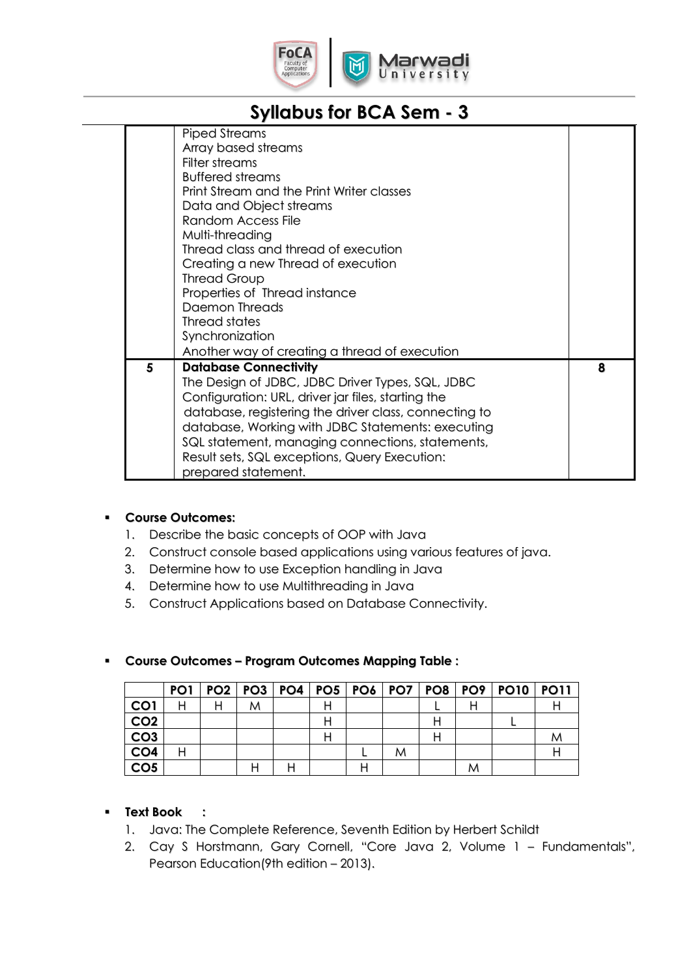

|   | Piped Streams<br>Array based streams<br>Filter streams<br><b>Buffered streams</b><br>Print Stream and the Print Writer classes<br>Data and Object streams<br><b>Random Access File</b><br>Multi-threading<br>Thread class and thread of execution<br>Creating a new Thread of execution<br><b>Thread Group</b><br>Properties of Thread instance<br>Daemon Threads<br>Thread states<br>Synchronization |   |
|---|-------------------------------------------------------------------------------------------------------------------------------------------------------------------------------------------------------------------------------------------------------------------------------------------------------------------------------------------------------------------------------------------------------|---|
|   | Another way of creating a thread of execution                                                                                                                                                                                                                                                                                                                                                         |   |
| 5 | <b>Database Connectivity</b><br>The Design of JDBC, JDBC Driver Types, SQL, JDBC<br>Configuration: URL, driver jar files, starting the<br>database, registering the driver class, connecting to<br>database, Working with JDBC Statements: executing<br>SQL statement, managing connections, statements,<br>Result sets, SQL exceptions, Query Execution:<br>prepared statement.                      | 8 |

## **Course Outcomes:**

- 1. Describe the basic concepts of OOP with Java
- 2. Construct console based applications using various features of java.
- 3. Determine how to use Exception handling in Java
- 4. Determine how to use Multithreading in Java
- 5. Construct Applications based on Database Connectivity.

|                 |  |   |  |   |  | PO1   PO2   PO3   PO4   PO5   PO6   PO7   PO8   PO9   PO10   PO11 |  |
|-----------------|--|---|--|---|--|-------------------------------------------------------------------|--|
| CO <sub>1</sub> |  | M |  |   |  |                                                                   |  |
| CO <sub>2</sub> |  |   |  |   |  |                                                                   |  |
| CO <sub>3</sub> |  |   |  |   |  |                                                                   |  |
| CO <sub>4</sub> |  |   |  | M |  |                                                                   |  |
| CO <sub>5</sub> |  |   |  |   |  |                                                                   |  |

## **Course Outcomes – Program Outcomes Mapping Table :**

## **Text Book :**

- 1. Java: The Complete Reference, Seventh Edition by Herbert Schildt
- 2. Cay S Horstmann, Gary Cornell, "Core Java 2, Volume 1 Fundamentals", Pearson Education(9th edition – 2013).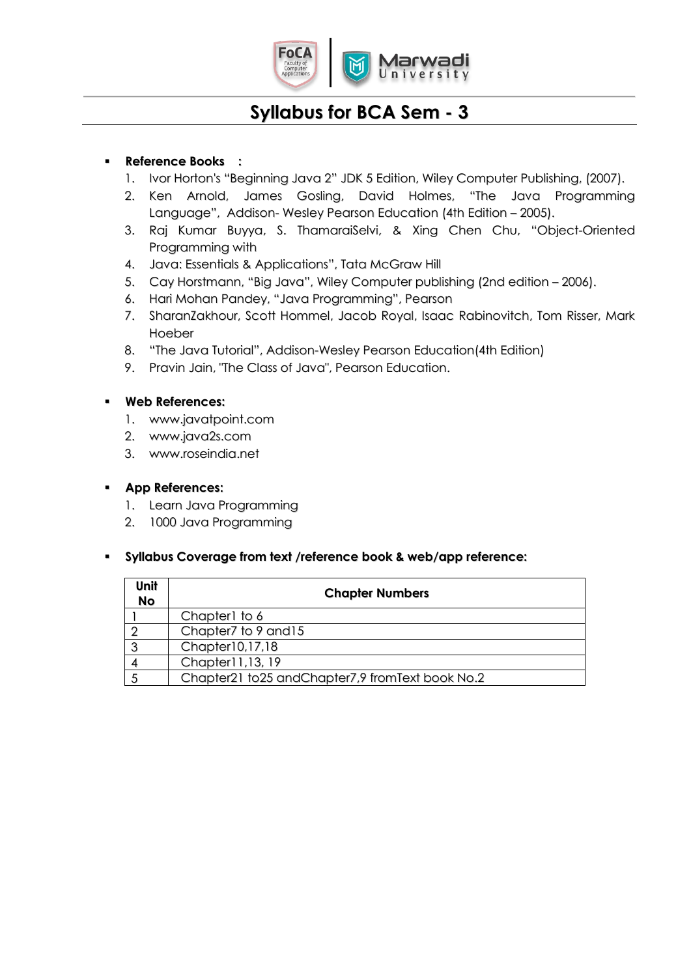

## **Reference Books :**

- 1. Ivor Horton's "Beginning Java 2" JDK 5 Edition, Wiley Computer Publishing, (2007).
- 2. Ken Arnold, James Gosling, David Holmes, "The Java Programming Language", Addison- Wesley Pearson Education (4th Edition – 2005).
- 3. Raj Kumar Buyya, S. ThamaraiSelvi, & Xing Chen Chu, "Object-Oriented Programming with
- 4. Java: Essentials & Applications", Tata McGraw Hill
- 5. Cay Horstmann, "Big Java", Wiley Computer publishing (2nd edition 2006).
- 6. Hari Mohan Pandey, "Java Programming", Pearson
- 7. SharanZakhour, Scott Hommel, Jacob Royal, Isaac Rabinovitch, Tom Risser, Mark Hoeber
- 8. "The Java Tutorial", Addison-Wesley Pearson Education(4th Edition)
- 9. Pravin Jain, "The Class of Java", Pearson Education.

#### **Web References:**

- 1. www.javatpoint.com
- 2. www.java2s.com
- 3. www.roseindia.net

#### **App References:**

- 1. Learn Java Programming
- 2. 1000 Java Programming

#### **Syllabus Coverage from text /reference book & web/app reference:**

| Unit<br><b>No</b> | <b>Chapter Numbers</b>                          |
|-------------------|-------------------------------------------------|
|                   | Chapter1 to 6                                   |
|                   | Chapter7 to 9 and 15                            |
|                   | Chapter10,17,18                                 |
|                   | Chapter11,13, 19                                |
|                   | Chapter21 to25 andChapter7,9 fromText book No.2 |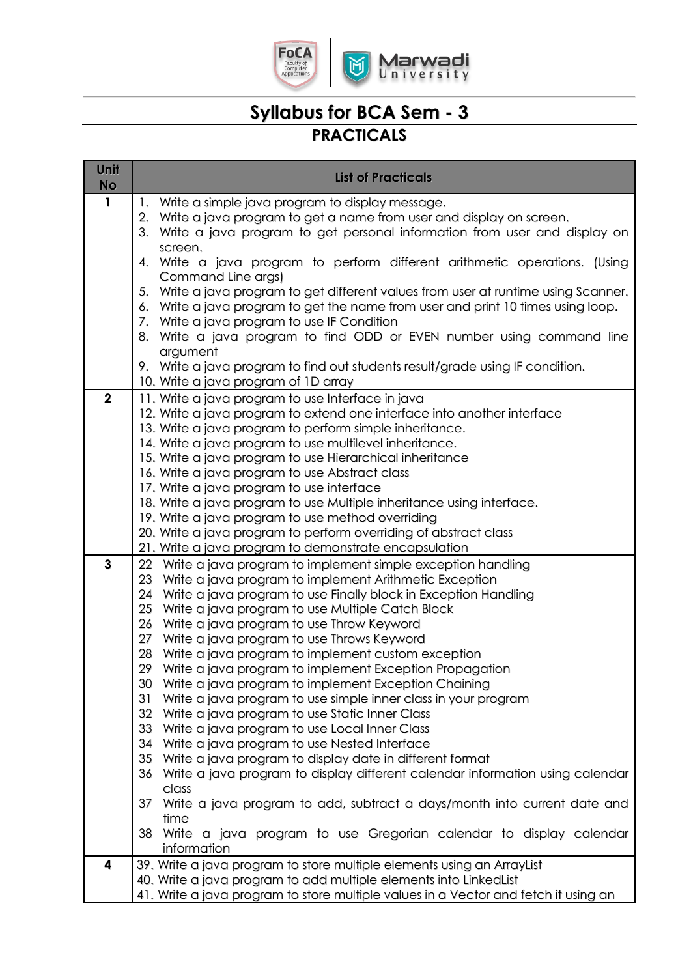

## **Syllabus for BCA Sem - 3 PRACTICALS**

| Unit<br><b>No</b> | <b>List of Practicals</b>                                                                                                       |
|-------------------|---------------------------------------------------------------------------------------------------------------------------------|
| $\mathbf{1}$      | 1. Write a simple java program to display message.                                                                              |
|                   | Write a java program to get a name from user and display on screen.<br>2.                                                       |
|                   | Write a java program to get personal information from user and display on<br>3.<br>screen.                                      |
|                   | Write a java program to perform different arithmetic operations. (Using<br>4.                                                   |
|                   | Command Line args)<br>Write a java program to get different values from user at runtime using Scanner.<br>5.                    |
|                   | Write a java program to get the name from user and print 10 times using loop.<br>6.                                             |
|                   | 7. Write a java program to use IF Condition                                                                                     |
|                   | Write a java program to find ODD or EVEN number using command line<br>8.<br>argument                                            |
|                   | 9. Write a java program to find out students result/grade using IF condition.                                                   |
|                   | 10. Write a java program of 1D array                                                                                            |
| $\mathbf 2$       | 11. Write a java program to use Interface in java                                                                               |
|                   | 12. Write a java program to extend one interface into another interface                                                         |
|                   | 13. Write a java program to perform simple inheritance.<br>14. Write a java program to use multilevel inheritance.              |
|                   | 15. Write a java program to use Hierarchical inheritance                                                                        |
|                   | 16. Write a java program to use Abstract class                                                                                  |
|                   | 17. Write a java program to use interface                                                                                       |
|                   | 18. Write a java program to use Multiple inheritance using interface.                                                           |
|                   | 19. Write a java program to use method overriding                                                                               |
|                   | 20. Write a java program to perform overriding of abstract class                                                                |
|                   | 21. Write a java program to demonstrate encapsulation                                                                           |
| 3                 | 22 Write a java program to implement simple exception handling                                                                  |
|                   | 23 Write a java program to implement Arithmetic Exception<br>24 Write a java program to use Finally block in Exception Handling |
|                   | 25<br>Write a java program to use Multiple Catch Block                                                                          |
|                   | 26<br>Write a java program to use Throw Keyword                                                                                 |
|                   | 27<br>Write a java program to use Throws Keyword                                                                                |
|                   | Write a java program to implement custom exception<br>28                                                                        |
|                   | Write a java program to implement Exception Propagation<br>29                                                                   |
|                   | 30 Write a java program to implement Exception Chaining                                                                         |
|                   | 31<br>Write a java program to use simple inner class in your program                                                            |
|                   | 32<br>Write a java program to use Static Inner Class<br>33                                                                      |
|                   | Write a java program to use Local Inner Class<br>34<br>Write a java program to use Nested Interface                             |
|                   | 35<br>Write a java program to display date in different format                                                                  |
|                   | Write a java program to display different calendar information using calendar<br>36                                             |
|                   | class                                                                                                                           |
|                   | 37<br>Write a java program to add, subtract a days/month into current date and                                                  |
|                   | time                                                                                                                            |
|                   | Write a java program to use Gregorian calendar to display calendar<br>38<br>information                                         |
| 4                 | 39. Write a java program to store multiple elements using an ArrayList                                                          |
|                   | 40. Write a java program to add multiple elements into LinkedList                                                               |
|                   | 41. Write a java program to store multiple values in a Vector and fetch it using an                                             |